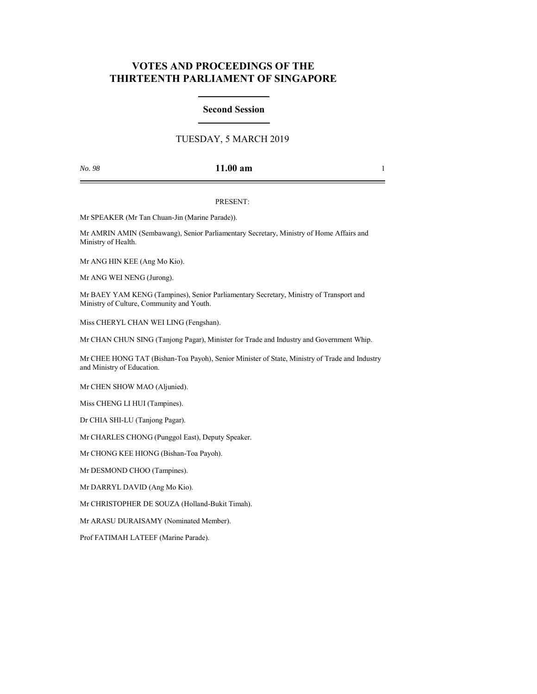# **VOTES AND PROCEEDINGS OF THE THIRTEENTH PARLIAMENT OF SINGAPORE**

## **Second Session**

## TUESDAY, 5 MARCH 2019

## *No. 98* **11.00 am** 1

### PRESENT:

Mr SPEAKER (Mr Tan Chuan-Jin (Marine Parade)).

Mr AMRIN AMIN (Sembawang), Senior Parliamentary Secretary, Ministry of Home Affairs and Ministry of Health.

Mr ANG HIN KEE (Ang Mo Kio).

Mr ANG WEI NENG (Jurong).

Mr BAEY YAM KENG (Tampines), Senior Parliamentary Secretary, Ministry of Transport and Ministry of Culture, Community and Youth.

Miss CHERYL CHAN WEI LING (Fengshan).

Mr CHAN CHUN SING (Tanjong Pagar), Minister for Trade and Industry and Government Whip.

Mr CHEE HONG TAT (Bishan-Toa Payoh), Senior Minister of State, Ministry of Trade and Industry and Ministry of Education.

Mr CHEN SHOW MAO (Aljunied).

Miss CHENG LI HUI (Tampines).

Dr CHIA SHI-LU (Tanjong Pagar).

Mr CHARLES CHONG (Punggol East), Deputy Speaker.

Mr CHONG KEE HIONG (Bishan-Toa Payoh).

Mr DESMOND CHOO (Tampines).

Mr DARRYL DAVID (Ang Mo Kio).

Mr CHRISTOPHER DE SOUZA (Holland-Bukit Timah).

Mr ARASU DURAISAMY (Nominated Member).

Prof FATIMAH LATEEF (Marine Parade).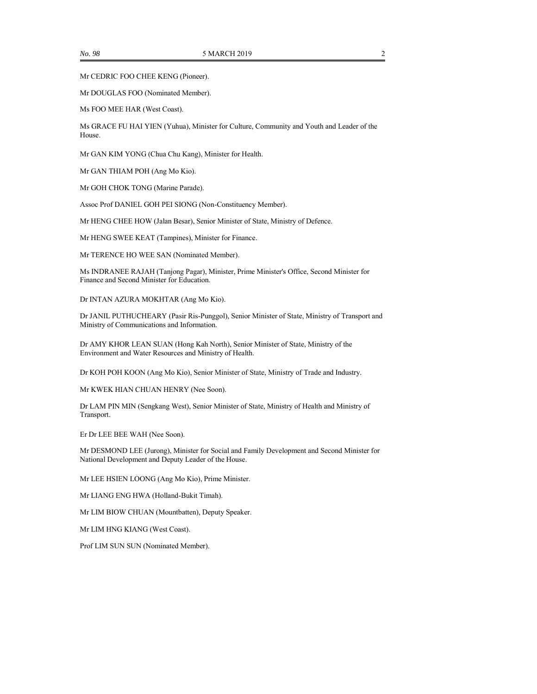Mr CEDRIC FOO CHEE KENG (Pioneer).

Mr DOUGLAS FOO (Nominated Member).

Ms FOO MEE HAR (West Coast).

Ms GRACE FU HAI YIEN (Yuhua), Minister for Culture, Community and Youth and Leader of the House.

Mr GAN KIM YONG (Chua Chu Kang), Minister for Health.

Mr GAN THIAM POH (Ang Mo Kio).

Mr GOH CHOK TONG (Marine Parade).

Assoc Prof DANIEL GOH PEI SIONG (Non-Constituency Member).

Mr HENG CHEE HOW (Jalan Besar), Senior Minister of State, Ministry of Defence.

Mr HENG SWEE KEAT (Tampines), Minister for Finance.

Mr TERENCE HO WEE SAN (Nominated Member).

Ms INDRANEE RAJAH (Tanjong Pagar), Minister, Prime Minister's Office, Second Minister for Finance and Second Minister for Education.

Dr INTAN AZURA MOKHTAR (Ang Mo Kio).

Dr JANIL PUTHUCHEARY (Pasir Ris-Punggol), Senior Minister of State, Ministry of Transport and Ministry of Communications and Information.

Dr AMY KHOR LEAN SUAN (Hong Kah North), Senior Minister of State, Ministry of the Environment and Water Resources and Ministry of Health.

Dr KOH POH KOON (Ang Mo Kio), Senior Minister of State, Ministry of Trade and Industry.

Mr KWEK HIAN CHUAN HENRY (Nee Soon).

Dr LAM PIN MIN (Sengkang West), Senior Minister of State, Ministry of Health and Ministry of Transport.

Er Dr LEE BEE WAH (Nee Soon).

Mr DESMOND LEE (Jurong), Minister for Social and Family Development and Second Minister for National Development and Deputy Leader of the House.

Mr LEE HSIEN LOONG (Ang Mo Kio), Prime Minister.

Mr LIANG ENG HWA (Holland-Bukit Timah).

Mr LIM BIOW CHUAN (Mountbatten), Deputy Speaker.

Mr LIM HNG KIANG (West Coast).

Prof LIM SUN SUN (Nominated Member).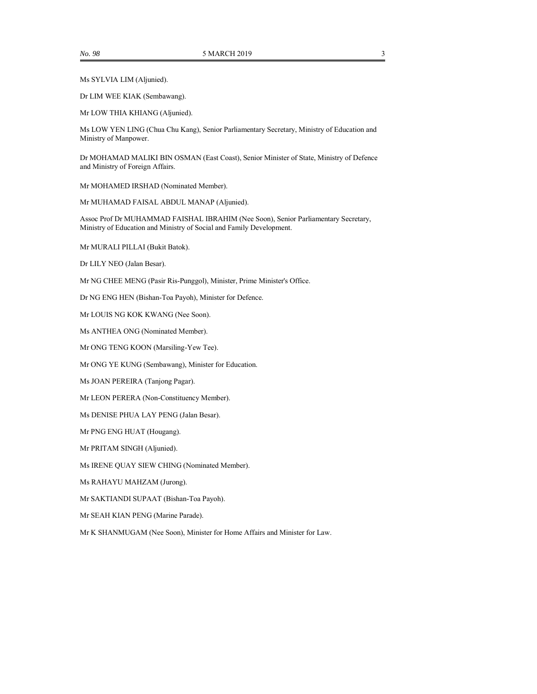Ms SYLVIA LIM (Aljunied).

Dr LIM WEE KIAK (Sembawang).

Mr LOW THIA KHIANG (Aljunied).

Ms LOW YEN LING (Chua Chu Kang), Senior Parliamentary Secretary, Ministry of Education and Ministry of Manpower.

Dr MOHAMAD MALIKI BIN OSMAN (East Coast), Senior Minister of State, Ministry of Defence and Ministry of Foreign Affairs.

Mr MOHAMED IRSHAD (Nominated Member).

Mr MUHAMAD FAISAL ABDUL MANAP (Aljunied).

Assoc Prof Dr MUHAMMAD FAISHAL IBRAHIM (Nee Soon), Senior Parliamentary Secretary, Ministry of Education and Ministry of Social and Family Development.

Mr MURALI PILLAI (Bukit Batok).

Dr LILY NEO (Jalan Besar).

Mr NG CHEE MENG (Pasir Ris-Punggol), Minister, Prime Minister's Office.

Dr NG ENG HEN (Bishan-Toa Payoh), Minister for Defence.

Mr LOUIS NG KOK KWANG (Nee Soon).

Ms ANTHEA ONG (Nominated Member).

Mr ONG TENG KOON (Marsiling-Yew Tee).

Mr ONG YE KUNG (Sembawang), Minister for Education.

Ms JOAN PEREIRA (Tanjong Pagar).

Mr LEON PERERA (Non-Constituency Member).

Ms DENISE PHUA LAY PENG (Jalan Besar).

Mr PNG ENG HUAT (Hougang).

Mr PRITAM SINGH (Aljunied).

Ms IRENE QUAY SIEW CHING (Nominated Member).

Ms RAHAYU MAHZAM (Jurong).

Mr SAKTIANDI SUPAAT (Bishan-Toa Payoh).

Mr SEAH KIAN PENG (Marine Parade).

Mr K SHANMUGAM (Nee Soon), Minister for Home Affairs and Minister for Law.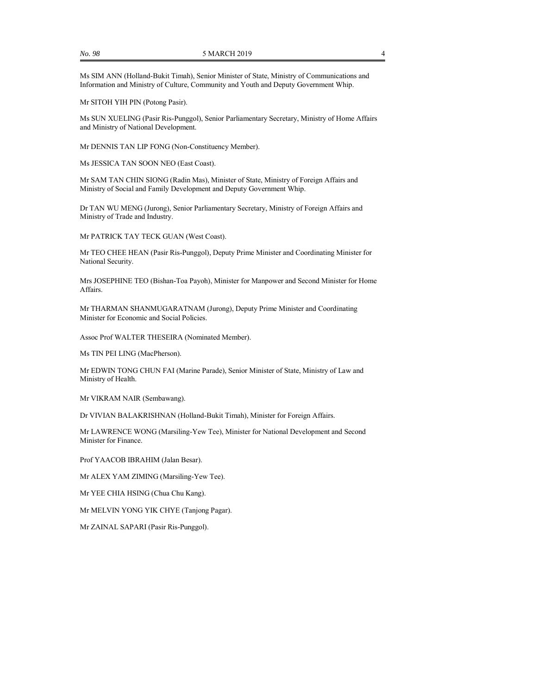Ms SIM ANN (Holland-Bukit Timah), Senior Minister of State, Ministry of Communications and Information and Ministry of Culture, Community and Youth and Deputy Government Whip.

Mr SITOH YIH PIN (Potong Pasir).

Ms SUN XUELING (Pasir Ris-Punggol), Senior Parliamentary Secretary, Ministry of Home Affairs and Ministry of National Development.

Mr DENNIS TAN LIP FONG (Non-Constituency Member).

Ms JESSICA TAN SOON NEO (East Coast).

Mr SAM TAN CHIN SIONG (Radin Mas), Minister of State, Ministry of Foreign Affairs and Ministry of Social and Family Development and Deputy Government Whip.

Dr TAN WU MENG (Jurong), Senior Parliamentary Secretary, Ministry of Foreign Affairs and Ministry of Trade and Industry.

Mr PATRICK TAY TECK GUAN (West Coast).

Mr TEO CHEE HEAN (Pasir Ris-Punggol), Deputy Prime Minister and Coordinating Minister for National Security.

Mrs JOSEPHINE TEO (Bishan-Toa Payoh), Minister for Manpower and Second Minister for Home Affairs.

Mr THARMAN SHANMUGARATNAM (Jurong), Deputy Prime Minister and Coordinating Minister for Economic and Social Policies.

Assoc Prof WALTER THESEIRA (Nominated Member).

Ms TIN PEI LING (MacPherson).

Mr EDWIN TONG CHUN FAI (Marine Parade), Senior Minister of State, Ministry of Law and Ministry of Health.

Mr VIKRAM NAIR (Sembawang).

Dr VIVIAN BALAKRISHNAN (Holland-Bukit Timah), Minister for Foreign Affairs.

Mr LAWRENCE WONG (Marsiling-Yew Tee), Minister for National Development and Second Minister for Finance.

Prof YAACOB IBRAHIM (Jalan Besar).

Mr ALEX YAM ZIMING (Marsiling-Yew Tee).

Mr YEE CHIA HSING (Chua Chu Kang).

Mr MELVIN YONG YIK CHYE (Tanjong Pagar).

Mr ZAINAL SAPARI (Pasir Ris-Punggol).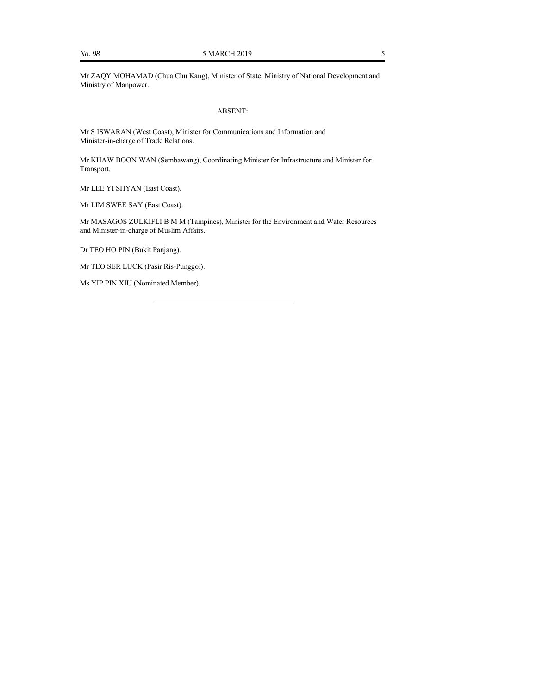Mr ZAQY MOHAMAD (Chua Chu Kang), Minister of State, Ministry of National Development and Ministry of Manpower.

#### ABSENT:

Mr S ISWARAN (West Coast), Minister for Communications and Information and Minister-in-charge of Trade Relations.

Mr KHAW BOON WAN (Sembawang), Coordinating Minister for Infrastructure and Minister for Transport.

Mr LEE YI SHYAN (East Coast).

Mr LIM SWEE SAY (East Coast).

Mr MASAGOS ZULKIFLI B M M (Tampines), Minister for the Environment and Water Resources and Minister-in-charge of Muslim Affairs.

Dr TEO HO PIN (Bukit Panjang).

Mr TEO SER LUCK (Pasir Ris-Punggol).

Ms YIP PIN XIU (Nominated Member).